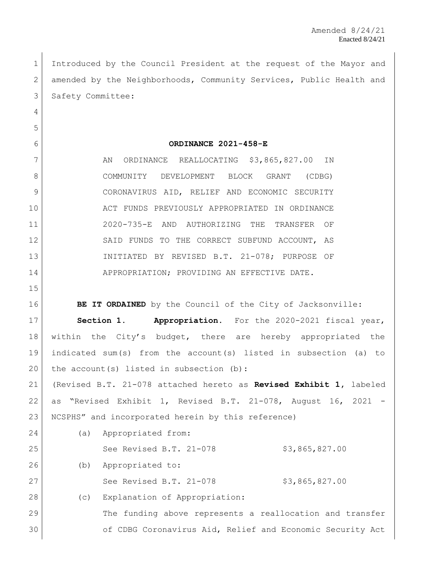Introduced by the Council President at the request of the Mayor and 2 amended by the Neighborhoods, Community Services, Public Health and 3 Safety Committee:

## **ORDINANCE 2021-458-E**

7 AN ORDINANCE REALLOCATING \$3,865,827.00 IN 8 COMMUNITY DEVELOPMENT BLOCK GRANT (CDBG) CORONAVIRUS AID, RELIEF AND ECONOMIC SECURITY ACT FUNDS PREVIOUSLY APPROPRIATED IN ORDINANCE 2020-735-E AND AUTHORIZING THE TRANSFER OF 12 SAID FUNDS TO THE CORRECT SUBFUND ACCOUNT, AS INITIATED BY REVISED B.T. 21-078; PURPOSE OF 14 APPROPRIATION; PROVIDING AN EFFECTIVE DATE.

**BE IT ORDAINED** by the Council of the City of Jacksonville:

 **Section 1. Appropriation.** For the 2020-2021 fiscal year, within the City's budget, there are hereby appropriated the indicated sum(s) from the account(s) listed in subsection (a) to 20 the account (s) listed in subsection (b): (Revised B.T. 21-078 attached hereto as **Revised Exhibit 1,** labeled

 as "Revised Exhibit 1, Revised B.T. 21-078, August 16, 2021 - NCSPHS" and incorporated herein by this reference)

| 24 | (a) | Appropriated from:                                        |
|----|-----|-----------------------------------------------------------|
| 25 |     | See Revised B.T. 21-078<br>\$3,865,827.00                 |
| 26 | (b) | Appropriated to:                                          |
| 27 |     | See Revised B.T. 21-078<br>\$3,865,827.00                 |
| 28 | (C) | Explanation of Appropriation:                             |
| 29 |     | The funding above represents a reallocation and transfer  |
| 30 |     | of CDBG Coronavirus Aid, Relief and Economic Security Act |